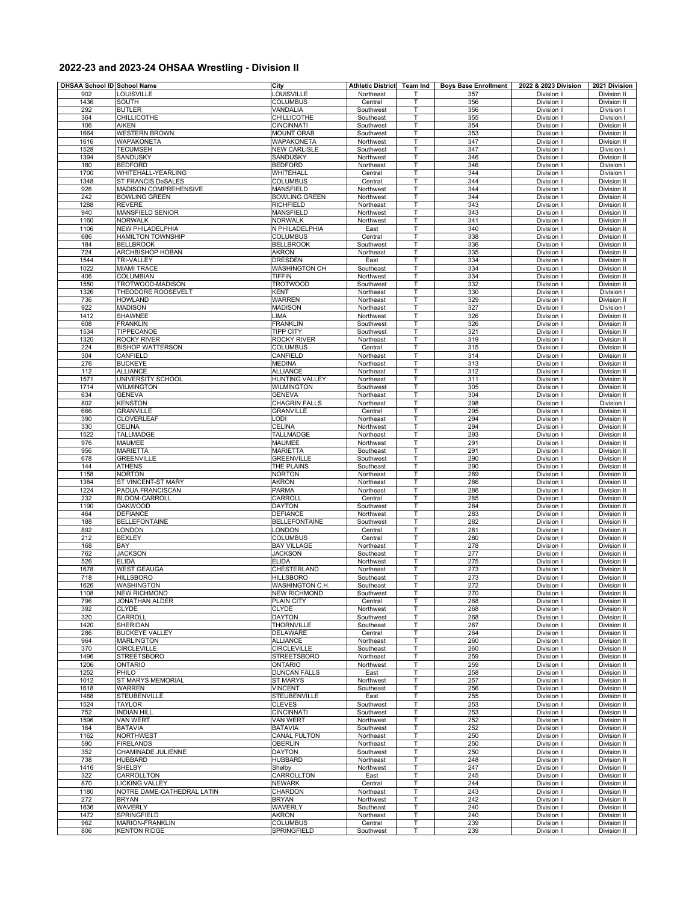## **2022-23 and 2023-24 OHSAA Wrestling - Division II**

| OHSAA School ID School Name<br>City |                                            |                                         | <b>Athletic District</b> | Team Ind | <b>Boys Base Enrollment</b> | 2022 & 2023 Division              | 2021 Division                     |
|-------------------------------------|--------------------------------------------|-----------------------------------------|--------------------------|----------|-----------------------------|-----------------------------------|-----------------------------------|
| 902                                 | LOUISVILLE                                 | LOUISVILLE                              | Northeast                |          | 357                         | Division II                       | Division II                       |
| 1436                                | SOUTH                                      | <b>COLUMBUS</b>                         | Central                  | T        | 356                         | Division II                       | Division II                       |
| 292<br>364                          | <b>BUTLER</b><br><b>CHILLICOTHE</b>        | VANDALIA<br>CHILLICOTHE                 | Southwest<br>Southeast   | т<br>T   | 356<br>355                  | Division II<br><b>Division II</b> | Division I<br>Division I          |
| 106                                 | <b>AIKEN</b>                               | <b>CINCINNATI</b>                       | Southwest                | T        | 354                         | Division II                       | Division II                       |
| 1664                                | <b>WESTERN BROWN</b>                       | <b>MOUNT ORAB</b>                       | Southwest                | т        | 353                         | <b>Division II</b>                | Division II                       |
| 1616                                | <b>WAPAKONETA</b>                          | WAPAKONETA                              | Northwest                | T        | 347                         | Division II                       | Division II                       |
| 1528<br>1394                        | <b>TECUMSEH</b>                            | <b>NEW CARLISLE</b>                     | Southwest                | т<br>T   | 347<br>346                  | Division II<br>Division II        | Division I                        |
| 180                                 | SANDUSKY<br><b>BEDFORD</b>                 | SANDUSKY<br><b>BEDFORD</b>              | Northwest<br>Northeast   | T        | 346                         | Division II                       | Division II<br>Division I         |
| 1700                                | WHITEHALL-YEARLING                         | WHITEHALL                               | Central                  | T        | 344                         | Division II                       | Division I                        |
| 1348                                | <b>ST FRANCIS DeSALES</b>                  | <b>COLUMBUS</b>                         | Central                  | т        | 344                         | Division II                       | Division II                       |
| 926                                 | MADISON COMPREHENSIVE                      | <b>MANSFIELD</b>                        | Northwest                | T        | 344                         | Division II                       | Division II                       |
| 242<br>1288                         | <b>BOWLING GREEN</b><br><b>REVERE</b>      | <b>BOWLING GREEN</b><br>RICHFIELD       | Northwest<br>Northeast   | T<br>Т   | 344<br>343                  | Division II<br>Division II        | Division II<br>Division II        |
| 940                                 | <b>MANSFIELD SENIOR</b>                    | <b>MANSFIELD</b>                        | Northwest                | т        | 343                         | Division II                       | Division II                       |
| 1160                                | NORWALK                                    | <b>NORWALK</b>                          | Northwest                | т        | 341                         | <b>Division II</b>                | Division II                       |
| 1106                                | <b>NEW PHILADELPHIA</b>                    | N PHILADELPHIA                          | East                     | T        | 340                         | Division II                       | Division II                       |
| 686                                 | <b>HAMILTON TOWNSHIP</b>                   | <b>COLUMBUS</b>                         | Central                  | т        | 338                         | Division II                       | Division II                       |
| 184<br>724                          | <b>BELLBROOK</b><br>ARCHBISHOP HOBAN       | <b>BELLBROOK</b><br><b>AKRON</b>        | Southwest<br>Northeast   | т<br>T   | 336<br>335                  | <b>Division II</b><br>Division II | Division II<br>Division II        |
| 1544                                | TRI-VALLEY                                 | DRESDEN                                 | East                     | т        | 334                         | Division II                       | <b>Division II</b>                |
| 1022                                | <b>MIAMI TRACE</b>                         | <b>WASHINGTON CH</b>                    | Southeast                | Т        | 334                         | Division II                       | Division II                       |
| 406                                 | COLUMBIAN                                  | <b>TIFFIN</b>                           | Northwest                | T        | 334                         | Division II                       | Division II                       |
| 1550                                | TROTWOOD-MADISON                           | <b>TROTWOOD</b>                         | Southwest                | T        | 332                         | Division II                       | Division II                       |
| 1326<br>736                         | THEODORE ROOSEVELT<br><b>HOWLAND</b>       | <b>KENT</b><br>WARREN                   | Northeast                | Т<br>T   | 330<br>329                  | Division II<br>Division II        | Division I                        |
| 922                                 | <b>MADISON</b>                             | <b>MADISON</b>                          | Northeast<br>Northeast   | T        | 327                         | Division II                       | Division II<br>Division           |
| 1412                                | <b>SHAWNEE</b>                             | LIMA                                    | Northwest                | Т        | 326                         | <b>Division II</b>                | Division II                       |
| 608                                 | <b>FRANKLIN</b>                            | <b>FRANKLIN</b>                         | Southwest                | T        | 326                         | Division II                       | Division II                       |
| 1534                                | TIPPECANOE                                 | <b>TIPP CITY</b>                        | Southwest                | т        | 321                         | <b>Division II</b>                | Division II                       |
| 1320                                | <b>ROCKY RIVER</b>                         | ROCKY RIVER                             | Northeast                | T        | 319                         | Division II                       | Division II                       |
| 224<br>304                          | <b>BISHOP WATTERSON</b>                    | <b>COLUMBUS</b>                         | Central                  | т<br>T   | 315<br>314                  | Division II<br>Division II        | Division II                       |
| 276                                 | CANFIELD<br><b>BUCKEYE</b>                 | CANFIELD<br><b>MEDINA</b>               | Northeast<br>Northeast   | T        | 313                         | Division II                       | Division II<br>Division II        |
| 112                                 | <b>ALLIANCE</b>                            | <b>ALLIANCE</b>                         | Northeast                | T        | 312                         | Division II                       | Division II                       |
| 1571                                | UNIVERSITY SCHOOL                          | <b>HUNTING VALLEY</b>                   | Northeast                | т        | 311                         | Division II                       | Division II                       |
| 1714                                | <b>WILMINGTON</b>                          | <b>WILMINGTON</b>                       | Southwest                | T        | 305                         | <b>Division II</b>                | Division II                       |
| 634                                 | <b>GENEVA</b>                              | <b>GENEVA</b>                           | Northeast                | T        | 304                         | Division II                       | <b>Division II</b>                |
| 802                                 | <b>KENSTON</b><br><b>GRANVILLE</b>         | <b>CHAGRIN FALLS</b>                    | Northeast                | Т        | 298                         | Division II                       | Division I                        |
| 666<br>390                          | <b>CLOVERLEAF</b>                          | <b>GRANVILLE</b><br>LODI                | Central<br>Northeast     | т<br>т   | 295<br>294                  | Division II<br><b>Division II</b> | Division II<br><b>Division II</b> |
| 330                                 | <b>CELINA</b>                              | CELINA                                  | Northwest                | T        | 294                         | Division II                       | Division II                       |
| 1522                                | TALLMADGE                                  | <b>TALLMADGE</b>                        | Northeast                | т        | 293                         | Division II                       | Division II                       |
| 976                                 | MAUMEE                                     | MAUMEE                                  | Northwest                | т        | 291                         | Division II                       | Division II                       |
| 956                                 | <b>MARIETTA</b>                            | <b>MARIETTA</b>                         | Southeast                | T        | 291                         | Division II                       | Division II                       |
| 678<br>144                          | <b>GREENVILLE</b><br><b>ATHENS</b>         | <b>GREENVILLE</b><br>THE PLAINS         | Southwest<br>Southeast   | т<br>T   | 290<br>290                  | Division II<br>Division II        | Division II<br>Division II        |
| 1158                                | <b>NORTON</b>                              | NORTON                                  | Northeast                | T        | 289                         | Division II                       | Division II                       |
| 1384                                | ST VINCENT-ST MARY                         | <b>AKRON</b>                            | Northeast                | T        | 286                         | Division II                       | Division II                       |
| 1224                                | PADUA FRANCISCAN                           | PARMA                                   | Northeast                | Т        | 286                         | Division II                       | Division II                       |
| 232                                 | <b>BLOOM-CARROLL</b>                       | CARROLL                                 | Central                  | T        | 285                         | Division II                       | Division II                       |
| 1190                                | <b>OAKWOOD</b>                             | <b>DAYTON</b>                           | Southwest                | т        | 284                         | Division II                       | Division II                       |
| 464<br>188                          | <b>DEFIANCE</b><br><b>BELLEFONTAINE</b>    | <b>DEFIANCE</b><br><b>BELLEFONTAINE</b> | Northwest<br>Southwest   | Т<br>T   | 283                         | <b>Division II</b><br>Division II | Division II<br>Division II        |
| 892                                 | LONDON                                     | LONDON                                  | Central                  | т        | 282<br>281                  | Division II                       | Division II                       |
| 212                                 | <b>BEXLEY</b>                              | <b>COLUMBUS</b>                         | Central                  | T        | 280                         | Division II                       | Division II                       |
| 168                                 | BAY                                        | <b>BAY VILLAGE</b>                      | Northeast                | т        | 278                         | Division II                       | Division II                       |
| 762                                 | <b>JACKSON</b>                             | <b>JACKSON</b>                          | Southeast                | Т        | 277                         | Division II                       | Division II                       |
| 526                                 | <b>ELIDA</b>                               | <b>ELIDA</b>                            | Northwest                | T        | 275                         | <b>Division II</b><br>Division II | <b>Division II</b>                |
| 1678<br>718                         | <b>WEST GEAUGA</b><br><b>HILLSBORO</b>     | CHESTERLAND<br><b>HILLSBORO</b>         | Northeast<br>Southeast   | T<br>т   | 273<br>273                  | Division II                       | Division II<br>Division II        |
| 1626                                | WASHINGTON                                 | <b>WASHINGTON C.H.</b>                  | Southeast                | т        | 272                         | Division II                       | Division II                       |
| 1108                                | <b>NEW RICHMOND</b>                        | <b>NEW RICHMOND</b>                     | Southwest                | т        | 270                         | Division II                       | Division II                       |
| 796                                 | <b>JONATHAN ALDER</b>                      | <b>PLAIN CITY</b>                       | Central                  | T        | 268                         | Division II                       | Division II                       |
| 392                                 | <b>CLYDE</b>                               | CLYDE                                   | Northwest                | T        | 268                         | Division II                       | Division II                       |
| 320<br>1420                         | CARROLL<br>SHERIDAN                        | <b>DAYTON</b><br><b>THORNVILLE</b>      | Southwest<br>Southeast   | т<br>Т   | 268<br>267                  | <b>Division II</b><br>Division II | Division II<br>Division II        |
| 286                                 | <b>BUCKEYE VALLEY</b>                      | <b>DELAWARE</b>                         | Central                  | т        | 264                         | Division II                       | Division II                       |
| 964                                 | <b>MARLINGTON</b>                          | <b>ALLIANCE</b>                         | Northeast                | т        | 260                         | Division II                       | Division II                       |
| 370                                 | <b>CIRCLEVILLE</b>                         | <b>CIRCLEVILLE</b>                      | Southeast                | T        | 260                         | Division II                       | Division II                       |
| 1496                                | <b>STREETSBORO</b>                         | <b>STREETSBORO</b>                      | Northeast                | т        | 259                         | Division II                       | Division II                       |
| 1206                                | <b>ONTARIO</b>                             | <b>ONTARIO</b>                          | Northwest                | T        | 259                         | Division II                       | Division II                       |
| 1252<br>1012                        | PHILO<br><b>ST MARYS MEMORIAL</b>          | <b>DUNCAN FALLS</b><br><b>ST MARYS</b>  | East<br>Northwest        | T<br>Т   | 258<br>257                  | Division II<br>Division II        | Division II<br>Division II        |
| 1618                                | WARREN                                     | <b>VINCENT</b>                          | Southeast                | Т        | 256                         | Division II                       | Division II                       |
| 1488                                | <b>STEUBENVILLE</b>                        | <b>STEUBENVILLE</b>                     | East                     | T        | 255                         | Division II                       | Division II                       |
| 1524                                | <b>TAYLOR</b>                              | <b>CLEVES</b>                           | Southwest                | т        | 253                         | Division II                       | Division II                       |
| 752                                 | <b>INDIAN HILL</b>                         | CINCINNATI                              | Southwest                | Т        | 253                         | Division II                       | <b>Division II</b>                |
| 1596                                | <b>VAN WERT</b>                            | <b>VAN WERT</b>                         | Northwest                | T        | 252                         | Division II                       | Division II                       |
| 164                                 | <b>BATAVIA</b><br>NORTHWEST                | <b>BATAVIA</b><br><b>CANAL FULTON</b>   | Southwest                | т<br>T   | 252<br>250                  | Division II                       | Division II                       |
| 1162<br>590                         | <b>FIRELANDS</b>                           | <b>OBERLIN</b>                          | Northeast<br>Northeast   | т        | 250                         | Division II<br>Division II        | Division II<br>Division II        |
| 352                                 | CHAMINADE JULIENNE                         | DAYTON                                  | Southwest                | Т        | 250                         | Division II                       | Division II                       |
| 738                                 | <b>HUBBARD</b>                             | HUBBARD                                 | Northeast                | T        | 248                         | Division II                       | Division II                       |
| 1416                                | SHELBY                                     | Shelby                                  | Northwest                | T        | 247                         | Division II                       | Division II                       |
| 322                                 | CARROLLTON                                 | CARROLLTON                              | East                     | т        | 245                         | Division II                       | Division II                       |
| 870                                 | LICKING VALLEY                             | <b>NEWARK</b><br>CHARDON                | Central                  | T        | 244                         | Division II                       | Division II                       |
| 1180<br>272                         | NOTRE DAME-CATHEDRAL LATIN<br><b>BRYAN</b> | <b>BRYAN</b>                            | Northeast<br>Northwest   | T<br>Т   | 243<br>242                  | Division II<br>Division II        | Division II<br>Division II        |
| 1636                                | WAVERLY                                    | WAVERLY                                 | Southeast                | т        | 240                         | Division II                       | Division II                       |
| 1472                                | <b>SPRINGFIELD</b>                         | <b>AKRON</b>                            | Northeast                | т        | 240                         | Division II                       | Division II                       |
| 962                                 | MARION-FRANKLIN                            | <b>COLUMBUS</b>                         | Central                  | T        | 239                         | Division II                       | Division II                       |
| 806                                 | <b>KENTON RIDGE</b>                        | SPRINGFIELD                             | Southwest                | т        | 239                         | Division II                       | Division II                       |